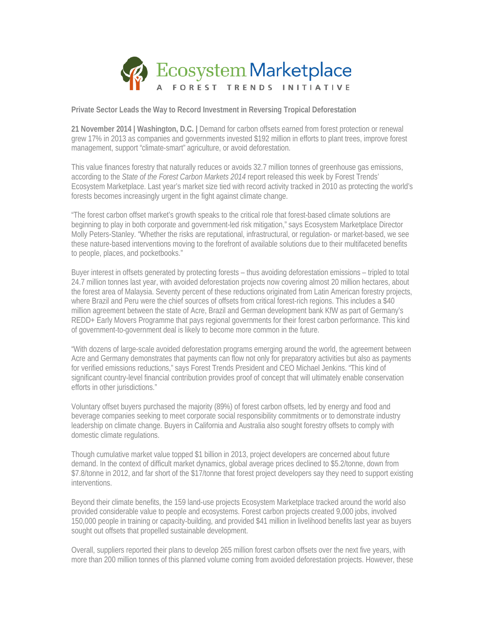

**Private Sector Leads the Way to Record Investment in Reversing Tropical Deforestation**

**21 November 2014 | Washington, D.C. |** Demand for carbon offsets earned from forest protection or renewal grew 17% in 2013 as companies and governments invested \$192 million in efforts to plant trees, improve forest management, support "climate-smart" agriculture, or avoid deforestation.

This value finances forestry that naturally reduces or avoids 32.7 million tonnes of greenhouse gas emissions, according to the *State of the Forest Carbon Markets 2014* report released this week by Forest Trends' Ecosystem Marketplace. Last year's market size tied with record activity tracked in 2010 as protecting the world's forests becomes increasingly urgent in the fight against climate change.

"The forest carbon offset market's growth speaks to the critical role that forest-based climate solutions are beginning to play in both corporate and government-led risk mitigation," says Ecosystem Marketplace Director Molly Peters-Stanley. "Whether the risks are reputational, infrastructural, or regulation- or market-based, we see these nature-based interventions moving to the forefront of available solutions due to their multifaceted benefits to people, places, and pocketbooks."

Buyer interest in offsets generated by protecting forests – thus avoiding deforestation emissions – tripled to total 24.7 million tonnes last year, with avoided deforestation projects now covering almost 20 million hectares, about the forest area of Malaysia. Seventy percent of these reductions originated from Latin American forestry projects, where Brazil and Peru were the chief sources of offsets from critical forest-rich regions. This includes a \$40 million agreement between the state of Acre, Brazil and German development bank KfW as part of Germany's REDD+ Early Movers Programme that pays regional governments for their forest carbon performance. This kind of government-to-government deal is likely to become more common in the future.

"With dozens of large-scale avoided deforestation programs emerging around the world, the agreement between Acre and Germany demonstrates that payments can flow not only for preparatory activities but also as payments for verified emissions reductions," says Forest Trends President and CEO Michael Jenkins. "This kind of significant country-level financial contribution provides proof of concept that will ultimately enable conservation efforts in other jurisdictions."

Voluntary offset buyers purchased the majority (89%) of forest carbon offsets, led by energy and food and beverage companies seeking to meet corporate social responsibility commitments or to demonstrate industry leadership on climate change. Buyers in California and Australia also sought forestry offsets to comply with domestic climate regulations.

Though cumulative market value topped \$1 billion in 2013, project developers are concerned about future demand. In the context of difficult market dynamics, global average prices declined to \$5.2/tonne, down from \$7.8/tonne in 2012, and far short of the \$17/tonne that forest project developers say they need to support existing interventions.

Beyond their climate benefits, the 159 land-use projects Ecosystem Marketplace tracked around the world also provided considerable value to people and ecosystems. Forest carbon projects created 9,000 jobs, involved 150,000 people in training or capacity-building, and provided \$41 million in livelihood benefits last year as buyers sought out offsets that propelled sustainable development.

Overall, suppliers reported their plans to develop 265 million forest carbon offsets over the next five years, with more than 200 million tonnes of this planned volume coming from avoided deforestation projects. However, these